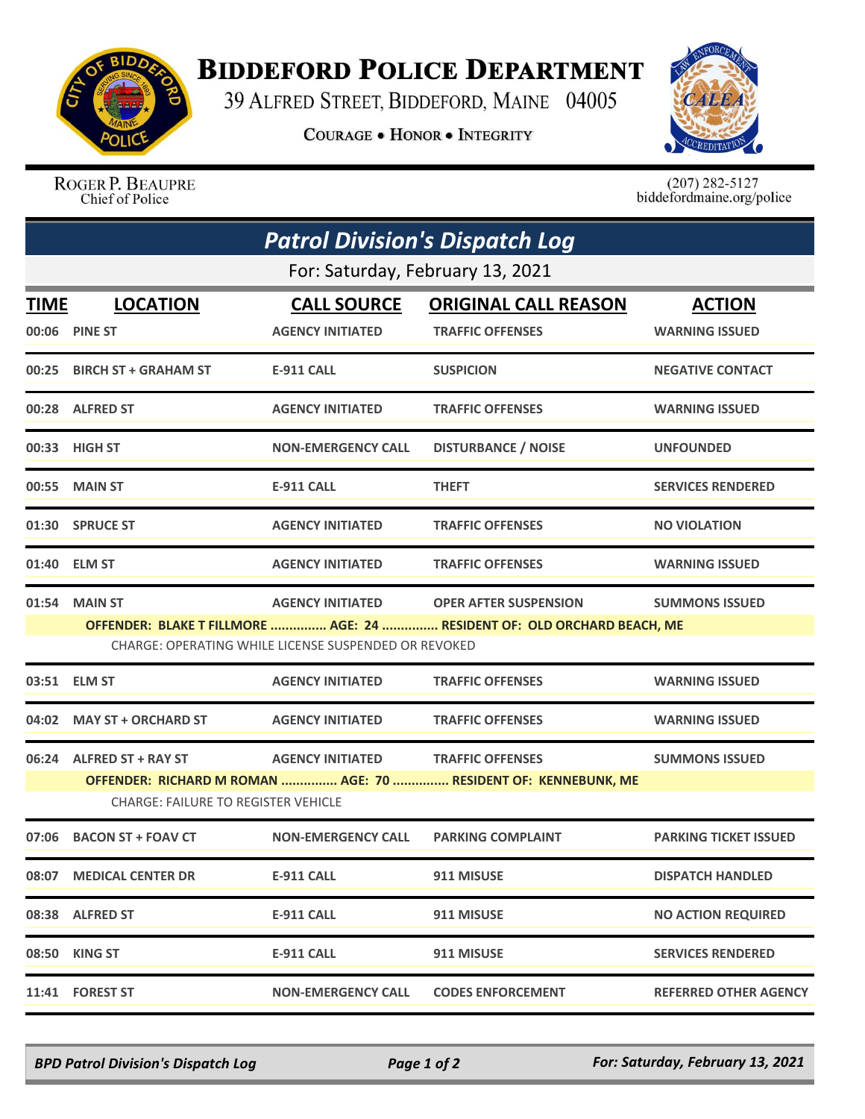

## **BIDDEFORD POLICE DEPARTMENT**

39 ALFRED STREET, BIDDEFORD, MAINE 04005

**COURAGE . HONOR . INTEGRITY** 



ROGER P. BEAUPRE Chief of Police

 $(207)$  282-5127<br>biddefordmaine.org/police

| <b>Patrol Division's Dispatch Log</b> |                                                                |                                                      |                                                                         |                              |  |  |  |  |
|---------------------------------------|----------------------------------------------------------------|------------------------------------------------------|-------------------------------------------------------------------------|------------------------------|--|--|--|--|
|                                       | For: Saturday, February 13, 2021                               |                                                      |                                                                         |                              |  |  |  |  |
| <b>TIME</b>                           | <b>LOCATION</b>                                                | <b>CALL SOURCE</b>                                   | <b>ORIGINAL CALL REASON</b>                                             | <b>ACTION</b>                |  |  |  |  |
|                                       | 00:06 PINE ST                                                  | <b>AGENCY INITIATED</b>                              | <b>TRAFFIC OFFENSES</b>                                                 | <b>WARNING ISSUED</b>        |  |  |  |  |
|                                       | 00:25 BIRCH ST + GRAHAM ST                                     | E-911 CALL                                           | <b>SUSPICION</b>                                                        | <b>NEGATIVE CONTACT</b>      |  |  |  |  |
|                                       | 00:28 ALFRED ST                                                | <b>AGENCY INITIATED</b>                              | <b>TRAFFIC OFFENSES</b>                                                 | <b>WARNING ISSUED</b>        |  |  |  |  |
|                                       | 00:33 HIGH ST                                                  | <b>NON-EMERGENCY CALL</b>                            | <b>DISTURBANCE / NOISE</b>                                              | <b>UNFOUNDED</b>             |  |  |  |  |
|                                       | 00:55 MAIN ST                                                  | <b>E-911 CALL</b>                                    | <b>THEFT</b>                                                            | <b>SERVICES RENDERED</b>     |  |  |  |  |
|                                       | 01:30 SPRUCE ST                                                | <b>AGENCY INITIATED</b>                              | <b>TRAFFIC OFFENSES</b>                                                 | <b>NO VIOLATION</b>          |  |  |  |  |
|                                       | 01:40 ELM ST                                                   | <b>AGENCY INITIATED</b>                              | <b>TRAFFIC OFFENSES</b>                                                 | <b>WARNING ISSUED</b>        |  |  |  |  |
| 01:54                                 | <b>MAIN ST</b>                                                 | <b>AGENCY INITIATED</b>                              | <b>OPER AFTER SUSPENSION</b>                                            | <b>SUMMONS ISSUED</b>        |  |  |  |  |
|                                       |                                                                | CHARGE: OPERATING WHILE LICENSE SUSPENDED OR REVOKED | OFFENDER: BLAKE T FILLMORE  AGE: 24  RESIDENT OF: OLD ORCHARD BEACH, ME |                              |  |  |  |  |
| 03:51                                 | <b>ELM ST</b>                                                  | <b>AGENCY INITIATED</b>                              | <b>TRAFFIC OFFENSES</b>                                                 | <b>WARNING ISSUED</b>        |  |  |  |  |
|                                       | 04:02 MAY ST + ORCHARD ST                                      | <b>AGENCY INITIATED</b>                              | <b>TRAFFIC OFFENSES</b>                                                 | <b>WARNING ISSUED</b>        |  |  |  |  |
|                                       | 06:24 ALFRED ST + RAY ST                                       | <b>AGENCY INITIATED</b>                              | <b>TRAFFIC OFFENSES</b>                                                 | <b>SUMMONS ISSUED</b>        |  |  |  |  |
|                                       | OFFENDER: RICHARD M ROMAN  AGE: 70  RESIDENT OF: KENNEBUNK, ME |                                                      |                                                                         |                              |  |  |  |  |
|                                       | <b>CHARGE: FAILURE TO REGISTER VEHICLE</b>                     |                                                      |                                                                         |                              |  |  |  |  |
| 07:06                                 | <b>BACON ST + FOAV CT</b>                                      | <b>NON-EMERGENCY CALL</b>                            | <b>PARKING COMPLAINT</b>                                                | <b>PARKING TICKET ISSUED</b> |  |  |  |  |
| 08:07                                 | <b>MEDICAL CENTER DR</b>                                       | <b>E-911 CALL</b>                                    | 911 MISUSE                                                              | <b>DISPATCH HANDLED</b>      |  |  |  |  |
|                                       | 08:38 ALFRED ST                                                | <b>E-911 CALL</b>                                    | 911 MISUSE                                                              | <b>NO ACTION REQUIRED</b>    |  |  |  |  |
|                                       | 08:50 KING ST                                                  | <b>E-911 CALL</b>                                    | 911 MISUSE                                                              | <b>SERVICES RENDERED</b>     |  |  |  |  |
|                                       | 11:41 FOREST ST                                                | <b>NON-EMERGENCY CALL</b>                            | <b>CODES ENFORCEMENT</b>                                                | <b>REFERRED OTHER AGENCY</b> |  |  |  |  |

*BPD Patrol Division's Dispatch Log Page 1 of 2 For: Saturday, February 13, 2021*